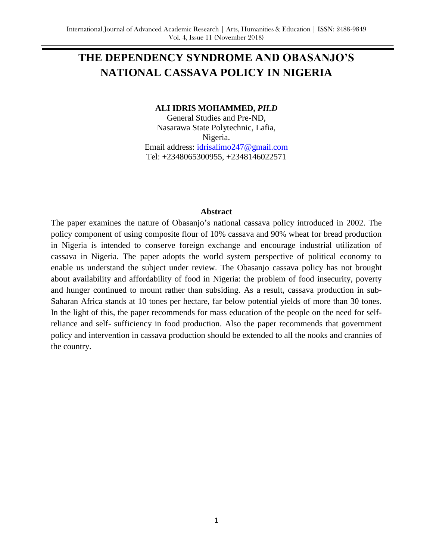# **THE DEPENDENCY SYNDROME AND OBASANJO'S NATIONAL CASSAVA POLICY IN NIGERIA**

#### **ALI IDRIS MOHAMMED,** *PH.D*

General Studies and Pre-ND, Nasarawa State Polytechnic, Lafia, Nigeria. Email address: [idrisalimo247@gmail.com](mailto:idrisalimo247@gmail.com) Tel: +2348065300955, +2348146022571

#### **Abstract**

The paper examines the nature of Obasanjo's national cassava policy introduced in 2002. The policy component of using composite flour of 10% cassava and 90% wheat for bread production in Nigeria is intended to conserve foreign exchange and encourage industrial utilization of cassava in Nigeria. The paper adopts the world system perspective of political economy to enable us understand the subject under review. The Obasanjo cassava policy has not brought about availability and affordability of food in Nigeria: the problem of food insecurity, poverty and hunger continued to mount rather than subsiding. As a result, cassava production in sub-Saharan Africa stands at 10 tones per hectare, far below potential yields of more than 30 tones. In the light of this, the paper recommends for mass education of the people on the need for selfreliance and self- sufficiency in food production. Also the paper recommends that government policy and intervention in cassava production should be extended to all the nooks and crannies of the country.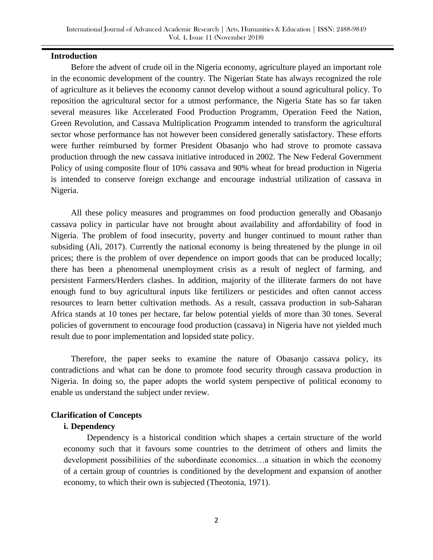## **Introduction**

Before the advent of crude oil in the Nigeria economy, agriculture played an important role in the economic development of the country. The Nigerian State has always recognized the role of agriculture as it believes the economy cannot develop without a sound agricultural policy. To reposition the agricultural sector for a utmost performance, the Nigeria State has so far taken several measures like Accelerated Food Production Programm, Operation Feed the Nation, Green Revolution, and Cassava Multiplication Programm intended to transform the agricultural sector whose performance has not however been considered generally satisfactory. These efforts were further reimbursed by former President Obasanjo who had strove to promote cassava production through the new cassava initiative introduced in 2002. The New Federal Government Policy of using composite flour of 10% cassava and 90% wheat for bread production in Nigeria is intended to conserve foreign exchange and encourage industrial utilization of cassava in Nigeria.

All these policy measures and programmes on food production generally and Obasanjo cassava policy in particular have not brought about availability and affordability of food in Nigeria. The problem of food insecurity, poverty and hunger continued to mount rather than subsiding (Ali, 2017). Currently the national economy is being threatened by the plunge in oil prices; there is the problem of over dependence on import goods that can be produced locally; there has been a phenomenal unemployment crisis as a result of neglect of farming, and persistent Farmers/Herders clashes. In addition, majority of the illiterate farmers do not have enough fund to buy agricultural inputs like fertilizers or pesticides and often cannot access resources to learn better cultivation methods. As a result, cassava production in sub-Saharan Africa stands at 10 tones per hectare, far below potential yields of more than 30 tones. Several policies of government to encourage food production (cassava) in Nigeria have not yielded much result due to poor implementation and lopsided state policy.

Therefore, the paper seeks to examine the nature of Obasanjo cassava policy, its contradictions and what can be done to promote food security through cassava production in Nigeria. In doing so, the paper adopts the world system perspective of political economy to enable us understand the subject under review.

#### **Clarification of Concepts**

#### **i. Dependency**

 Dependency is a historical condition which shapes a certain structure of the world economy such that it favours some countries to the detriment of others and limits the development possibilities of the subordinate economics…a situation in which the economy of a certain group of countries is conditioned by the development and expansion of another economy, to which their own is subjected (Theotonia, 1971).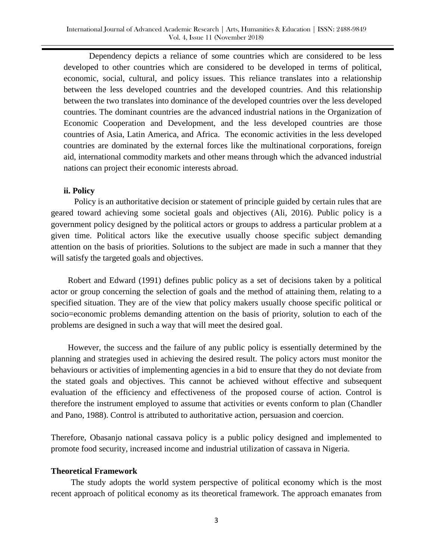Dependency depicts a reliance of some countries which are considered to be less developed to other countries which are considered to be developed in terms of political, economic, social, cultural, and policy issues. This reliance translates into a relationship between the less developed countries and the developed countries. And this relationship between the two translates into dominance of the developed countries over the less developed countries. The dominant countries are the advanced industrial nations in the Organization of Economic Cooperation and Development, and the less developed countries are those countries of Asia, Latin America, and Africa. The economic activities in the less developed countries are dominated by the external forces like the multinational corporations, foreign aid, international commodity markets and other means through which the advanced industrial nations can project their economic interests abroad.

## **ii. Policy**

 Policy is an authoritative decision or statement of principle guided by certain rules that are geared toward achieving some societal goals and objectives (Ali, 2016). Public policy is a government policy designed by the political actors or groups to address a particular problem at a given time. Political actors like the executive usually choose specific subject demanding attention on the basis of priorities. Solutions to the subject are made in such a manner that they will satisfy the targeted goals and objectives.

Robert and Edward (1991) defines public policy as a set of decisions taken by a political actor or group concerning the selection of goals and the method of attaining them, relating to a specified situation. They are of the view that policy makers usually choose specific political or socio=economic problems demanding attention on the basis of priority, solution to each of the problems are designed in such a way that will meet the desired goal.

However, the success and the failure of any public policy is essentially determined by the planning and strategies used in achieving the desired result. The policy actors must monitor the behaviours or activities of implementing agencies in a bid to ensure that they do not deviate from the stated goals and objectives. This cannot be achieved without effective and subsequent evaluation of the efficiency and effectiveness of the proposed course of action. Control is therefore the instrument employed to assume that activities or events conform to plan (Chandler and Pano, 1988). Control is attributed to authoritative action, persuasion and coercion.

Therefore, Obasanjo national cassava policy is a public policy designed and implemented to promote food security, increased income and industrial utilization of cassava in Nigeria.

## **Theoretical Framework**

The study adopts the world system perspective of political economy which is the most recent approach of political economy as its theoretical framework. The approach emanates from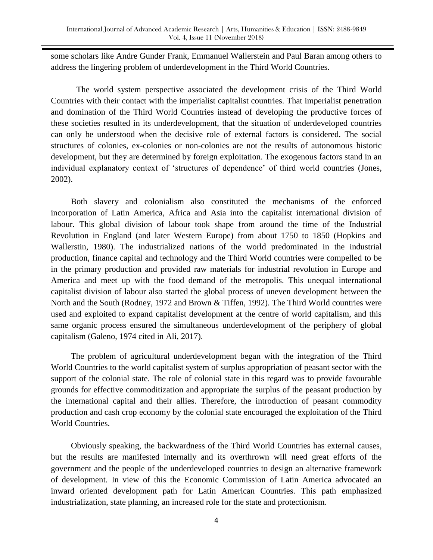some scholars like Andre Gunder Frank, Emmanuel Wallerstein and Paul Baran among others to address the lingering problem of underdevelopment in the Third World Countries.

The world system perspective associated the development crisis of the Third World Countries with their contact with the imperialist capitalist countries. That imperialist penetration and domination of the Third World Countries instead of developing the productive forces of these societies resulted in its underdevelopment, that the situation of underdeveloped countries can only be understood when the decisive role of external factors is considered. The social structures of colonies, ex-colonies or non-colonies are not the results of autonomous historic development, but they are determined by foreign exploitation. The exogenous factors stand in an individual explanatory context of "structures of dependence" of third world countries (Jones, 2002).

Both slavery and colonialism also constituted the mechanisms of the enforced incorporation of Latin America, Africa and Asia into the capitalist international division of labour. This global division of labour took shape from around the time of the Industrial Revolution in England (and later Western Europe) from about 1750 to 1850 (Hopkins and Wallerstin, 1980). The industrialized nations of the world predominated in the industrial production, finance capital and technology and the Third World countries were compelled to be in the primary production and provided raw materials for industrial revolution in Europe and America and meet up with the food demand of the metropolis. This unequal international capitalist division of labour also started the global process of uneven development between the North and the South (Rodney, 1972 and Brown & Tiffen, 1992). The Third World countries were used and exploited to expand capitalist development at the centre of world capitalism, and this same organic process ensured the simultaneous underdevelopment of the periphery of global capitalism (Galeno, 1974 cited in Ali, 2017).

The problem of agricultural underdevelopment began with the integration of the Third World Countries to the world capitalist system of surplus appropriation of peasant sector with the support of the colonial state. The role of colonial state in this regard was to provide favourable grounds for effective commoditization and appropriate the surplus of the peasant production by the international capital and their allies. Therefore, the introduction of peasant commodity production and cash crop economy by the colonial state encouraged the exploitation of the Third World Countries.

Obviously speaking, the backwardness of the Third World Countries has external causes, but the results are manifested internally and its overthrown will need great efforts of the government and the people of the underdeveloped countries to design an alternative framework of development. In view of this the Economic Commission of Latin America advocated an inward oriented development path for Latin American Countries. This path emphasized industrialization, state planning, an increased role for the state and protectionism.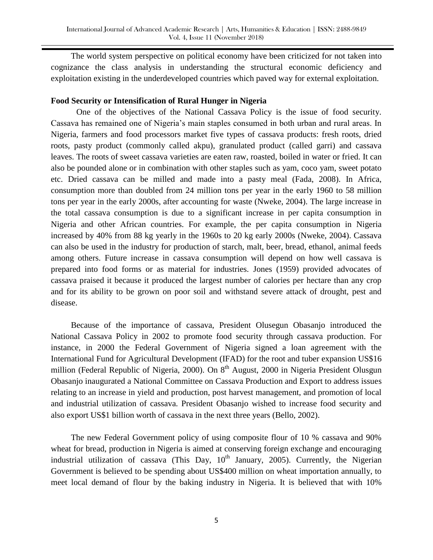The world system perspective on political economy have been criticized for not taken into cognizance the class analysis in understanding the structural economic deficiency and exploitation existing in the underdeveloped countries which paved way for external exploitation.

## **Food Security or Intensification of Rural Hunger in Nigeria**

One of the objectives of the National Cassava Policy is the issue of food security. Cassava has remained one of Nigeria"s main staples consumed in both urban and rural areas. In Nigeria, farmers and food processors market five types of cassava products: fresh roots, dried roots, pasty product (commonly called akpu), granulated product (called garri) and cassava leaves. The roots of sweet cassava varieties are eaten raw, roasted, boiled in water or fried. It can also be pounded alone or in combination with other staples such as yam, coco yam, sweet potato etc. Dried cassava can be milled and made into a pasty meal (Fada, 2008). In Africa, consumption more than doubled from 24 million tons per year in the early 1960 to 58 million tons per year in the early 2000s, after accounting for waste (Nweke, 2004). The large increase in the total cassava consumption is due to a significant increase in per capita consumption in Nigeria and other African countries. For example, the per capita consumption in Nigeria increased by 40% from 88 kg yearly in the 1960s to 20 kg early 2000s (Nweke, 2004). Cassava can also be used in the industry for production of starch, malt, beer, bread, ethanol, animal feeds among others. Future increase in cassava consumption will depend on how well cassava is prepared into food forms or as material for industries. Jones (1959) provided advocates of cassava praised it because it produced the largest number of calories per hectare than any crop and for its ability to be grown on poor soil and withstand severe attack of drought, pest and disease.

Because of the importance of cassava, President Olusegun Obasanjo introduced the National Cassava Policy in 2002 to promote food security through cassava production. For instance, in 2000 the Federal Government of Nigeria signed a loan agreement with the International Fund for Agricultural Development (IFAD) for the root and tuber expansion US\$16 million (Federal Republic of Nigeria, 2000). On 8<sup>th</sup> August, 2000 in Nigeria President Olusgun Obasanjo inaugurated a National Committee on Cassava Production and Export to address issues relating to an increase in yield and production, post harvest management, and promotion of local and industrial utilization of cassava. President Obasanjo wished to increase food security and also export US\$1 billion worth of cassava in the next three years (Bello, 2002).

The new Federal Government policy of using composite flour of 10 % cassava and 90% wheat for bread, production in Nigeria is aimed at conserving foreign exchange and encouraging industrial utilization of cassava (This Day,  $10<sup>th</sup>$  January, 2005). Currently, the Nigerian Government is believed to be spending about US\$400 million on wheat importation annually, to meet local demand of flour by the baking industry in Nigeria. It is believed that with 10%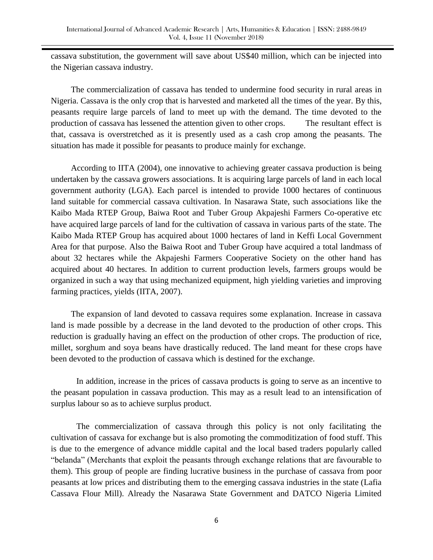cassava substitution, the government will save about US\$40 million, which can be injected into the Nigerian cassava industry.

The commercialization of cassava has tended to undermine food security in rural areas in Nigeria. Cassava is the only crop that is harvested and marketed all the times of the year. By this, peasants require large parcels of land to meet up with the demand. The time devoted to the production of cassava has lessened the attention given to other crops. The resultant effect is that, cassava is overstretched as it is presently used as a cash crop among the peasants. The situation has made it possible for peasants to produce mainly for exchange.

According to IITA (2004), one innovative to achieving greater cassava production is being undertaken by the cassava growers associations. It is acquiring large parcels of land in each local government authority (LGA). Each parcel is intended to provide 1000 hectares of continuous land suitable for commercial cassava cultivation. In Nasarawa State, such associations like the Kaibo Mada RTEP Group, Baiwa Root and Tuber Group Akpajeshi Farmers Co-operative etc have acquired large parcels of land for the cultivation of cassava in various parts of the state. The Kaibo Mada RTEP Group has acquired about 1000 hectares of land in Keffi Local Government Area for that purpose. Also the Baiwa Root and Tuber Group have acquired a total landmass of about 32 hectares while the Akpajeshi Farmers Cooperative Society on the other hand has acquired about 40 hectares. In addition to current production levels, farmers groups would be organized in such a way that using mechanized equipment, high yielding varieties and improving farming practices, yields (IITA, 2007).

The expansion of land devoted to cassava requires some explanation. Increase in cassava land is made possible by a decrease in the land devoted to the production of other crops. This reduction is gradually having an effect on the production of other crops. The production of rice, millet, sorghum and soya beans have drastically reduced. The land meant for these crops have been devoted to the production of cassava which is destined for the exchange.

In addition, increase in the prices of cassava products is going to serve as an incentive to the peasant population in cassava production. This may as a result lead to an intensification of surplus labour so as to achieve surplus product.

The commercialization of cassava through this policy is not only facilitating the cultivation of cassava for exchange but is also promoting the commoditization of food stuff. This is due to the emergence of advance middle capital and the local based traders popularly called "belanda" (Merchants that exploit the peasants through exchange relations that are favourable to them). This group of people are finding lucrative business in the purchase of cassava from poor peasants at low prices and distributing them to the emerging cassava industries in the state (Lafia Cassava Flour Mill). Already the Nasarawa State Government and DATCO Nigeria Limited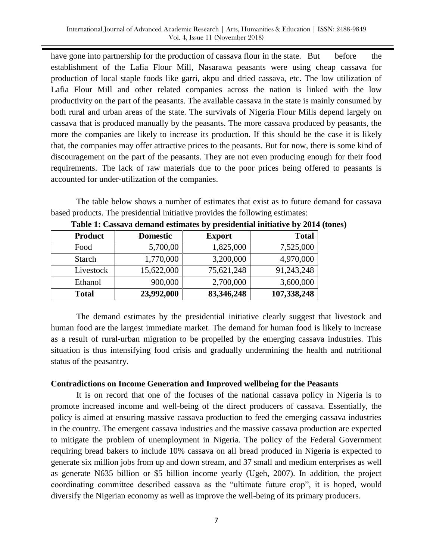have gone into partnership for the production of cassava flour in the state. But before the establishment of the Lafia Flour Mill, Nasarawa peasants were using cheap cassava for production of local staple foods like garri, akpu and dried cassava, etc. The low utilization of Lafia Flour Mill and other related companies across the nation is linked with the low productivity on the part of the peasants. The available cassava in the state is mainly consumed by both rural and urban areas of the state. The survivals of Nigeria Flour Mills depend largely on cassava that is produced manually by the peasants. The more cassava produced by peasants, the more the companies are likely to increase its production. If this should be the case it is likely that, the companies may offer attractive prices to the peasants. But for now, there is some kind of discouragement on the part of the peasants. They are not even producing enough for their food requirements. The lack of raw materials due to the poor prices being offered to peasants is accounted for under-utilization of the companies.

The table below shows a number of estimates that exist as to future demand for cassava based products. The presidential initiative provides the following estimates:

| <b>Product</b> | <b>Domestic</b> | <b>Export</b> | <b>Total</b> |
|----------------|-----------------|---------------|--------------|
| Food           | 5,700,00        | 1,825,000     | 7,525,000    |
| <b>Starch</b>  | 1,770,000       | 3,200,000     | 4,970,000    |
| Livestock      | 15,622,000      | 75,621,248    | 91,243,248   |
| Ethanol        | 900,000         | 2,700,000     | 3,600,000    |
| <b>Total</b>   | 23,992,000      | 83, 346, 248  | 107,338,248  |

**Table 1: Cassava demand estimates by presidential initiative by 2014 (tones)**

The demand estimates by the presidential initiative clearly suggest that livestock and human food are the largest immediate market. The demand for human food is likely to increase as a result of rural-urban migration to be propelled by the emerging cassava industries. This situation is thus intensifying food crisis and gradually undermining the health and nutritional status of the peasantry.

## **Contradictions on Income Generation and Improved wellbeing for the Peasants**

It is on record that one of the focuses of the national cassava policy in Nigeria is to promote increased income and well-being of the direct producers of cassava. Essentially, the policy is aimed at ensuring massive cassava production to feed the emerging cassava industries in the country. The emergent cassava industries and the massive cassava production are expected to mitigate the problem of unemployment in Nigeria. The policy of the Federal Government requiring bread bakers to include 10% cassava on all bread produced in Nigeria is expected to generate six million jobs from up and down stream, and 37 small and medium enterprises as well as generate N635 billion or \$5 billion income yearly (Ugeh, 2007). In addition, the project coordinating committee described cassava as the "ultimate future crop", it is hoped, would diversify the Nigerian economy as well as improve the well-being of its primary producers.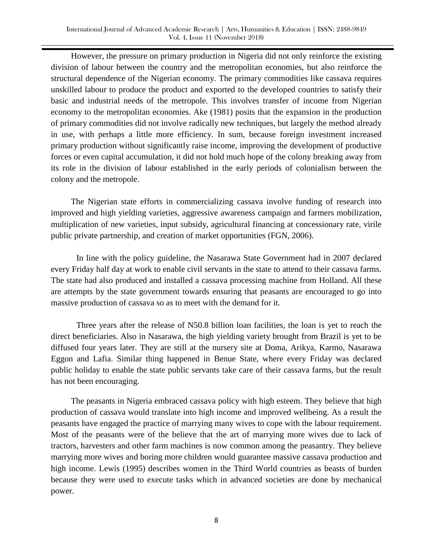However, the pressure on primary production in Nigeria did not only reinforce the existing division of labour between the country and the metropolitan economies, but also reinforce the structural dependence of the Nigerian economy. The primary commodities like cassava requires unskilled labour to produce the product and exported to the developed countries to satisfy their basic and industrial needs of the metropole. This involves transfer of income from Nigerian economy to the metropolitan economies. Ake (1981) posits that the expansion in the production of primary commodities did not involve radically new techniques, but largely the method already in use, with perhaps a little more efficiency. In sum, because foreign investment increased primary production without significantly raise income, improving the development of productive forces or even capital accumulation, it did not hold much hope of the colony breaking away from its role in the division of labour established in the early periods of colonialism between the colony and the metropole.

The Nigerian state efforts in commercializing cassava involve funding of research into improved and high yielding varieties, aggressive awareness campaign and farmers mobilization, multiplication of new varieties, input subsidy, agricultural financing at concessionary rate, virile public private partnership, and creation of market opportunities (FGN, 2006).

In line with the policy guideline, the Nasarawa State Government had in 2007 declared every Friday half day at work to enable civil servants in the state to attend to their cassava farms. The state had also produced and installed a cassava processing machine from Holland. All these are attempts by the state government towards ensuring that peasants are encouraged to go into massive production of cassava so as to meet with the demand for it.

Three years after the release of N50.8 billion loan facilities, the loan is yet to reach the direct beneficiaries. Also in Nasarawa, the high yielding variety brought from Brazil is yet to be diffused four years later. They are still at the nursery site at Doma, Arikya, Karmo, Nasarawa Eggon and Lafia. Similar thing happened in Benue State, where every Friday was declared public holiday to enable the state public servants take care of their cassava farms, but the result has not been encouraging.

The peasants in Nigeria embraced cassava policy with high esteem. They believe that high production of cassava would translate into high income and improved wellbeing. As a result the peasants have engaged the practice of marrying many wives to cope with the labour requirement. Most of the peasants were of the believe that the art of marrying more wives due to lack of tractors, harvesters and other farm machines is now common among the peasantry. They believe marrying more wives and boring more children would guarantee massive cassava production and high income. Lewis (1995) describes women in the Third World countries as beasts of burden because they were used to execute tasks which in advanced societies are done by mechanical power.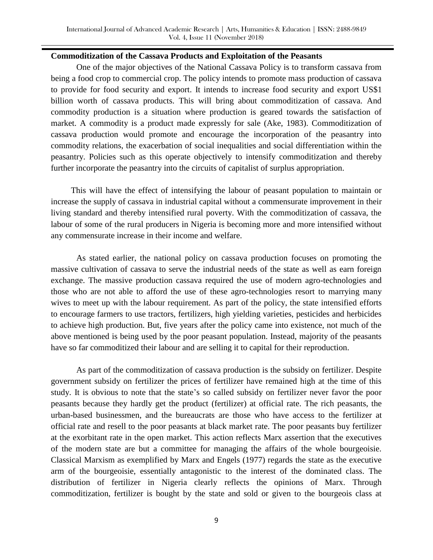## **Commoditization of the Cassava Products and Exploitation of the Peasants**

One of the major objectives of the National Cassava Policy is to transform cassava from being a food crop to commercial crop. The policy intends to promote mass production of cassava to provide for food security and export. It intends to increase food security and export US\$1 billion worth of cassava products. This will bring about commoditization of cassava. And commodity production is a situation where production is geared towards the satisfaction of market. A commodity is a product made expressly for sale (Ake, 1983). Commoditization of cassava production would promote and encourage the incorporation of the peasantry into commodity relations, the exacerbation of social inequalities and social differentiation within the peasantry. Policies such as this operate objectively to intensify commoditization and thereby further incorporate the peasantry into the circuits of capitalist of surplus appropriation.

This will have the effect of intensifying the labour of peasant population to maintain or increase the supply of cassava in industrial capital without a commensurate improvement in their living standard and thereby intensified rural poverty. With the commoditization of cassava, the labour of some of the rural producers in Nigeria is becoming more and more intensified without any commensurate increase in their income and welfare.

As stated earlier, the national policy on cassava production focuses on promoting the massive cultivation of cassava to serve the industrial needs of the state as well as earn foreign exchange. The massive production cassava required the use of modern agro-technologies and those who are not able to afford the use of these agro-technologies resort to marrying many wives to meet up with the labour requirement. As part of the policy, the state intensified efforts to encourage farmers to use tractors, fertilizers, high yielding varieties, pesticides and herbicides to achieve high production. But, five years after the policy came into existence, not much of the above mentioned is being used by the poor peasant population. Instead, majority of the peasants have so far commoditized their labour and are selling it to capital for their reproduction.

As part of the commoditization of cassava production is the subsidy on fertilizer. Despite government subsidy on fertilizer the prices of fertilizer have remained high at the time of this study. It is obvious to note that the state's so called subsidy on fertilizer never favor the poor peasants because they hardly get the product (fertilizer) at official rate. The rich peasants, the urban-based businessmen, and the bureaucrats are those who have access to the fertilizer at official rate and resell to the poor peasants at black market rate. The poor peasants buy fertilizer at the exorbitant rate in the open market. This action reflects Marx assertion that the executives of the modern state are but a committee for managing the affairs of the whole bourgeoisie. Classical Marxism as exemplified by Marx and Engels (1977) regards the state as the executive arm of the bourgeoisie, essentially antagonistic to the interest of the dominated class. The distribution of fertilizer in Nigeria clearly reflects the opinions of Marx. Through commoditization, fertilizer is bought by the state and sold or given to the bourgeois class at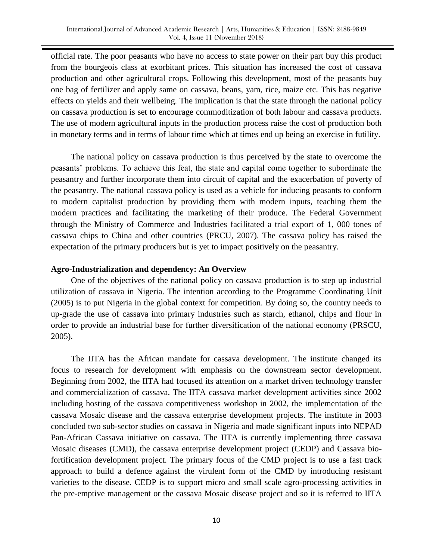official rate. The poor peasants who have no access to state power on their part buy this product from the bourgeois class at exorbitant prices. This situation has increased the cost of cassava production and other agricultural crops. Following this development, most of the peasants buy one bag of fertilizer and apply same on cassava, beans, yam, rice, maize etc. This has negative effects on yields and their wellbeing. The implication is that the state through the national policy on cassava production is set to encourage commoditization of both labour and cassava products. The use of modern agricultural inputs in the production process raise the cost of production both in monetary terms and in terms of labour time which at times end up being an exercise in futility.

The national policy on cassava production is thus perceived by the state to overcome the peasants" problems. To achieve this feat, the state and capital come together to subordinate the peasantry and further incorporate them into circuit of capital and the exacerbation of poverty of the peasantry. The national cassava policy is used as a vehicle for inducing peasants to conform to modern capitalist production by providing them with modern inputs, teaching them the modern practices and facilitating the marketing of their produce. The Federal Government through the Ministry of Commerce and Industries facilitated a trial export of 1, 000 tones of cassava chips to China and other countries (PRCU, 2007). The cassava policy has raised the expectation of the primary producers but is yet to impact positively on the peasantry.

#### **Agro-Industrialization and dependency: An Overview**

One of the objectives of the national policy on cassava production is to step up industrial utilization of cassava in Nigeria. The intention according to the Programme Coordinating Unit (2005) is to put Nigeria in the global context for competition. By doing so, the country needs to up-grade the use of cassava into primary industries such as starch, ethanol, chips and flour in order to provide an industrial base for further diversification of the national economy (PRSCU, 2005).

The IITA has the African mandate for cassava development. The institute changed its focus to research for development with emphasis on the downstream sector development. Beginning from 2002, the IITA had focused its attention on a market driven technology transfer and commercialization of cassava. The IITA cassava market development activities since 2002 including hosting of the cassava competitiveness workshop in 2002, the implementation of the cassava Mosaic disease and the cassava enterprise development projects. The institute in 2003 concluded two sub-sector studies on cassava in Nigeria and made significant inputs into NEPAD Pan-African Cassava initiative on cassava. The IITA is currently implementing three cassava Mosaic diseases (CMD), the cassava enterprise development project (CEDP) and Cassava biofortification development project. The primary focus of the CMD project is to use a fast track approach to build a defence against the virulent form of the CMD by introducing resistant varieties to the disease. CEDP is to support micro and small scale agro-processing activities in the pre-emptive management or the cassava Mosaic disease project and so it is referred to IITA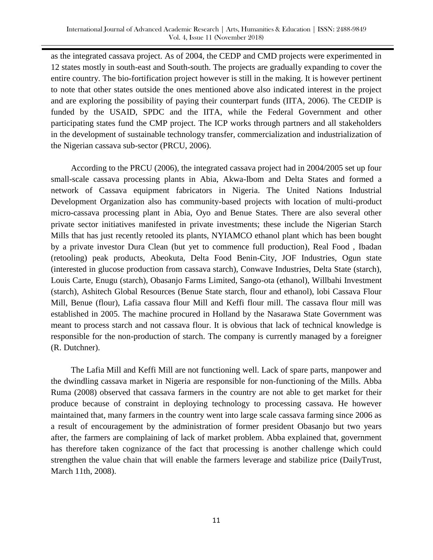as the integrated cassava project. As of 2004, the CEDP and CMD projects were experimented in 12 states mostly in south-east and South-south. The projects are gradually expanding to cover the entire country. The bio-fortification project however is still in the making. It is however pertinent to note that other states outside the ones mentioned above also indicated interest in the project and are exploring the possibility of paying their counterpart funds (IITA, 2006). The CEDIP is funded by the USAID, SPDC and the IITA, while the Federal Government and other participating states fund the CMP project. The ICP works through partners and all stakeholders in the development of sustainable technology transfer, commercialization and industrialization of the Nigerian cassava sub-sector (PRCU, 2006).

According to the PRCU (2006), the integrated cassava project had in 2004/2005 set up four small-scale cassava processing plants in Abia, Akwa-Ibom and Delta States and formed a network of Cassava equipment fabricators in Nigeria. The United Nations Industrial Development Organization also has community-based projects with location of multi-product micro-cassava processing plant in Abia, Oyo and Benue States. There are also several other private sector initiatives manifested in private investments; these include the Nigerian Starch Mills that has just recently retooled its plants, NYIAMCO ethanol plant which has been bought by a private investor Dura Clean (but yet to commence full production), Real Food , Ibadan (retooling) peak products, Abeokuta, Delta Food Benin-City, JOF Industries, Ogun state (interested in glucose production from cassava starch), Conwave Industries, Delta State (starch), Louis Carte, Enugu (starch), Obasanjo Farms Limited, Sango-ota (ethanol), Willbahi Investment (starch), Ashitech Global Resources (Benue State starch, flour and ethanol), lobi Cassava Flour Mill, Benue (flour), Lafia cassava flour Mill and Keffi flour mill. The cassava flour mill was established in 2005. The machine procured in Holland by the Nasarawa State Government was meant to process starch and not cassava flour. It is obvious that lack of technical knowledge is responsible for the non-production of starch. The company is currently managed by a foreigner (R. Dutchner).

The Lafia Mill and Keffi Mill are not functioning well. Lack of spare parts, manpower and the dwindling cassava market in Nigeria are responsible for non-functioning of the Mills. Abba Ruma (2008) observed that cassava farmers in the country are not able to get market for their produce because of constraint in deploying technology to processing cassava. He however maintained that, many farmers in the country went into large scale cassava farming since 2006 as a result of encouragement by the administration of former president Obasanjo but two years after, the farmers are complaining of lack of market problem. Abba explained that, government has therefore taken cognizance of the fact that processing is another challenge which could strengthen the value chain that will enable the farmers leverage and stabilize price (DailyTrust, March 11th, 2008).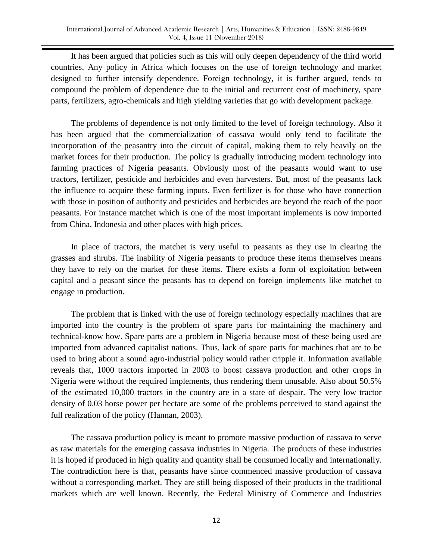It has been argued that policies such as this will only deepen dependency of the third world countries. Any policy in Africa which focuses on the use of foreign technology and market designed to further intensify dependence. Foreign technology, it is further argued, tends to compound the problem of dependence due to the initial and recurrent cost of machinery, spare parts, fertilizers, agro-chemicals and high yielding varieties that go with development package.

The problems of dependence is not only limited to the level of foreign technology. Also it has been argued that the commercialization of cassava would only tend to facilitate the incorporation of the peasantry into the circuit of capital, making them to rely heavily on the market forces for their production. The policy is gradually introducing modern technology into farming practices of Nigeria peasants. Obviously most of the peasants would want to use tractors, fertilizer, pesticide and herbicides and even harvesters. But, most of the peasants lack the influence to acquire these farming inputs. Even fertilizer is for those who have connection with those in position of authority and pesticides and herbicides are beyond the reach of the poor peasants. For instance matchet which is one of the most important implements is now imported from China, Indonesia and other places with high prices.

In place of tractors, the matchet is very useful to peasants as they use in clearing the grasses and shrubs. The inability of Nigeria peasants to produce these items themselves means they have to rely on the market for these items. There exists a form of exploitation between capital and a peasant since the peasants has to depend on foreign implements like matchet to engage in production.

The problem that is linked with the use of foreign technology especially machines that are imported into the country is the problem of spare parts for maintaining the machinery and technical-know how. Spare parts are a problem in Nigeria because most of these being used are imported from advanced capitalist nations. Thus, lack of spare parts for machines that are to be used to bring about a sound agro-industrial policy would rather cripple it. Information available reveals that, 1000 tractors imported in 2003 to boost cassava production and other crops in Nigeria were without the required implements, thus rendering them unusable. Also about 50.5% of the estimated 10,000 tractors in the country are in a state of despair. The very low tractor density of 0.03 horse power per hectare are some of the problems perceived to stand against the full realization of the policy (Hannan, 2003).

The cassava production policy is meant to promote massive production of cassava to serve as raw materials for the emerging cassava industries in Nigeria. The products of these industries it is hoped if produced in high quality and quantity shall be consumed locally and internationally. The contradiction here is that, peasants have since commenced massive production of cassava without a corresponding market. They are still being disposed of their products in the traditional markets which are well known. Recently, the Federal Ministry of Commerce and Industries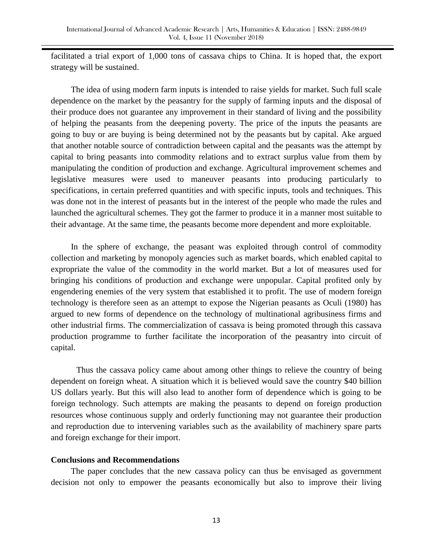facilitated a trial export of 1,000 tons of cassava chips to China. It is hoped that, the export strategy will be sustained.

The idea of using modern farm inputs is intended to raise yields for market. Such full scale dependence on the market by the peasantry for the supply of farming inputs and the disposal of their produce does not guarantee any improvement in their standard of living and the possibility of helping the peasants from the deepening poverty. The price of the inputs the peasants are going to buy or are buying is being determined not by the peasants but by capital. Ake argued that another notable source of contradiction between capital and the peasants was the attempt by capital to bring peasants into commodity relations and to extract surplus value from them by manipulating the condition of production and exchange. Agricultural improvement schemes and legislative measures were used to maneuver peasants into producing particularly to specifications, in certain preferred quantities and with specific inputs, tools and techniques. This was done not in the interest of peasants but in the interest of the people who made the rules and launched the agricultural schemes. They got the farmer to produce it in a manner most suitable to their advantage. At the same time, the peasants become more dependent and more exploitable.

In the sphere of exchange, the peasant was exploited through control of commodity collection and marketing by monopoly agencies such as market boards, which enabled capital to expropriate the value of the commodity in the world market. But a lot of measures used for bringing his conditions of production and exchange were unpopular. Capital profited only by engendering enemies of the very system that established it to profit. The use of modern foreign technology is therefore seen as an attempt to expose the Nigerian peasants as Oculi (1980) has argued to new forms of dependence on the technology of multinational agribusiness firms and other industrial firms. The commercialization of cassava is being promoted through this cassava production programme to further facilitate the incorporation of the peasantry into circuit of capital.

Thus the cassava policy came about among other things to relieve the country of being dependent on foreign wheat. A situation which it is believed would save the country \$40 billion US dollars yearly. But this will also lead to another form of dependence which is going to be foreign technology. Such attempts are making the peasants to depend on foreign production resources whose continuous supply and orderly functioning may not guarantee their production and reproduction due to intervening variables such as the availability of machinery spare parts and foreign exchange for their import.

## **Conclusions and Recommendations**

The paper concludes that the new cassava policy can thus be envisaged as government decision not only to empower the peasants economically but also to improve their living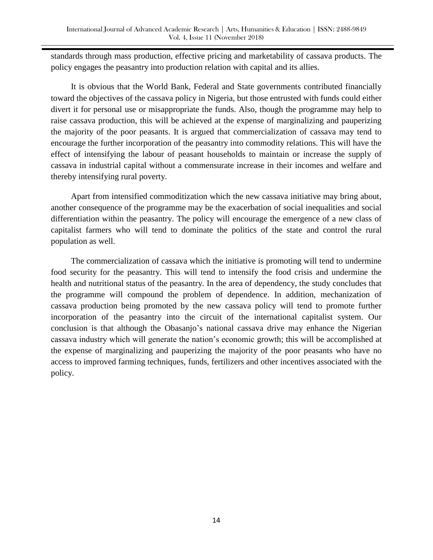standards through mass production, effective pricing and marketability of cassava products. The policy engages the peasantry into production relation with capital and its allies.

It is obvious that the World Bank, Federal and State governments contributed financially toward the objectives of the cassava policy in Nigeria, but those entrusted with funds could either divert it for personal use or misappropriate the funds. Also, though the programme may help to raise cassava production, this will be achieved at the expense of marginalizing and pauperizing the majority of the poor peasants. It is argued that commercialization of cassava may tend to encourage the further incorporation of the peasantry into commodity relations. This will have the effect of intensifying the labour of peasant households to maintain or increase the supply of cassava in industrial capital without a commensurate increase in their incomes and welfare and thereby intensifying rural poverty.

Apart from intensified commoditization which the new cassava initiative may bring about, another consequence of the programme may be the exacerbation of social inequalities and social differentiation within the peasantry. The policy will encourage the emergence of a new class of capitalist farmers who will tend to dominate the politics of the state and control the rural population as well.

The commercialization of cassava which the initiative is promoting will tend to undermine food security for the peasantry. This will tend to intensify the food crisis and undermine the health and nutritional status of the peasantry. In the area of dependency, the study concludes that the programme will compound the problem of dependence. In addition, mechanization of cassava production being promoted by the new cassava policy will tend to promote further incorporation of the peasantry into the circuit of the international capitalist system. Our conclusion is that although the Obasanjo"s national cassava drive may enhance the Nigerian cassava industry which will generate the nation"s economic growth; this will be accomplished at the expense of marginalizing and pauperizing the majority of the poor peasants who have no access to improved farming techniques, funds, fertilizers and other incentives associated with the policy.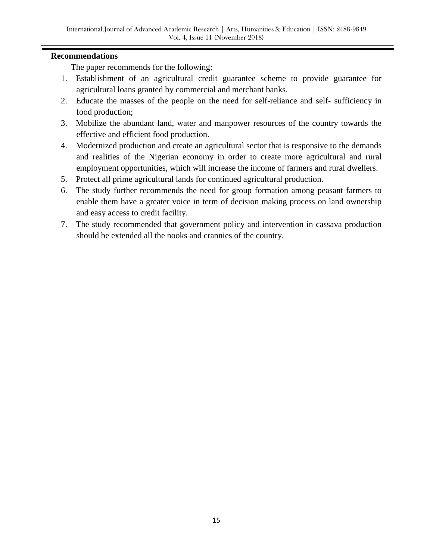# **Recommendations**

The paper recommends for the following:

- 1. Establishment of an agricultural credit guarantee scheme to provide guarantee for agricultural loans granted by commercial and merchant banks.
- 2. Educate the masses of the people on the need for self-reliance and self- sufficiency in food production;
- 3. Mobilize the abundant land, water and manpower resources of the country towards the effective and efficient food production.
- 4. Modernized production and create an agricultural sector that is responsive to the demands and realities of the Nigerian economy in order to create more agricultural and rural employment opportunities, which will increase the income of farmers and rural dwellers.
- 5. Protect all prime agricultural lands for continued agricultural production.
- 6. The study further recommends the need for group formation among peasant farmers to enable them have a greater voice in term of decision making process on land ownership and easy access to credit facility.
- 7. The study recommended that government policy and intervention in cassava production should be extended all the nooks and crannies of the country.